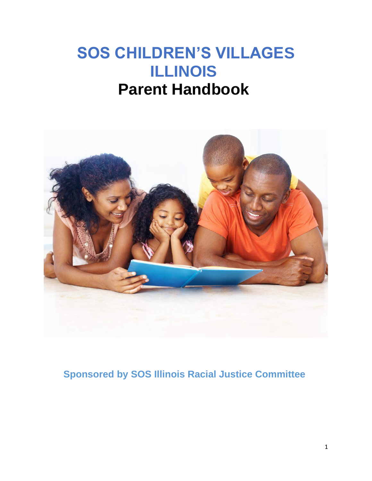# **SOS CHILDREN'S VILLAGES ILLINOIS Parent Handbook**



**Sponsored by SOS Illinois Racial Justice Committee**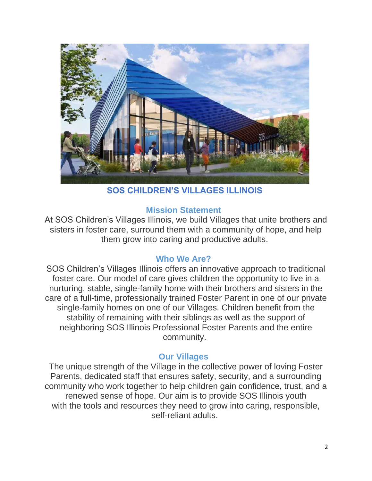

**SOS CHILDREN'S VILLAGES ILLINOIS**

## **Mission Statement**

At SOS Children's Villages Illinois, we build Villages that unite brothers and sisters in foster care, surround them with a community of hope, and help them grow into caring and productive adults.

## **Who We Are?**

SOS Children's Villages Illinois offers an innovative approach to traditional foster care. Our model of care gives children the opportunity to live in a nurturing, stable, single-family home with their brothers and sisters in the care of a full-time, professionally trained Foster Parent in one of our private single-family homes on one of our Villages. Children benefit from the stability of remaining with their siblings as well as the support of neighboring SOS Illinois Professional Foster Parents and the entire community.

## **Our Villages**

The unique strength of the Village in the collective power of loving Foster Parents, dedicated staff that ensures safety, security, and a surrounding community who work together to help children gain confidence, trust, and a renewed sense of hope. Our aim is to provide SOS Illinois youth with the tools and resources they need to grow into caring, responsible, self-reliant adults.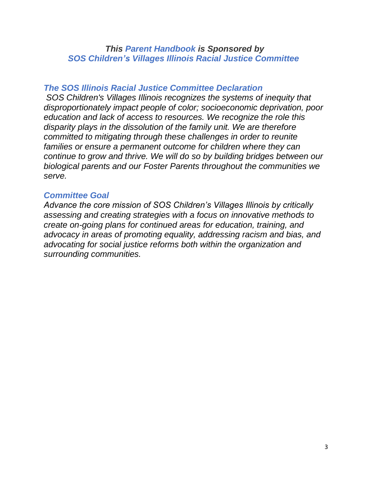## *This Parent Handbook is Sponsored by SOS Children's Villages Illinois Racial Justice Committee*

## *The SOS Illinois Racial Justice Committee Declaration*

*SOS Children's Villages Illinois recognizes the systems of inequity that disproportionately impact people of color; socioeconomic deprivation, poor education and lack of access to resources. We recognize the role this disparity plays in the dissolution of the family unit. We are therefore committed to mitigating through these challenges in order to reunite*  families or ensure a permanent outcome for children where they can *continue to grow and thrive. We will do so by building bridges between our biological parents and our Foster Parents throughout the communities we serve.*

## *Committee Goal*

*Advance the core mission of SOS Children's Villages Illinois by critically assessing and creating strategies with a focus on innovative methods to create on-going plans for continued areas for education, training, and advocacy in areas of promoting equality, addressing racism and bias, and advocating for social justice reforms both within the organization and surrounding communities.*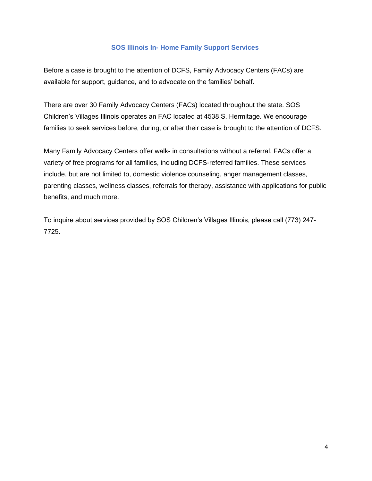#### **SOS Illinois In- Home Family Support Services**

Before a case is brought to the attention of DCFS, Family Advocacy Centers (FACs) are available for support, guidance, and to advocate on the families' behalf.

There are over 30 Family Advocacy Centers (FACs) located throughout the state. SOS Children's Villages Illinois operates an FAC located at 4538 S. Hermitage. We encourage families to seek services before, during, or after their case is brought to the attention of DCFS.

Many Family Advocacy Centers offer walk- in consultations without a referral. FACs offer a variety of free programs for all families, including DCFS-referred families. These services include, but are not limited to, domestic violence counseling, anger management classes, parenting classes, wellness classes, referrals for therapy, assistance with applications for public benefits, and much more.

To inquire about services provided by SOS Children's Villages Illinois, please call (773) 247- 7725.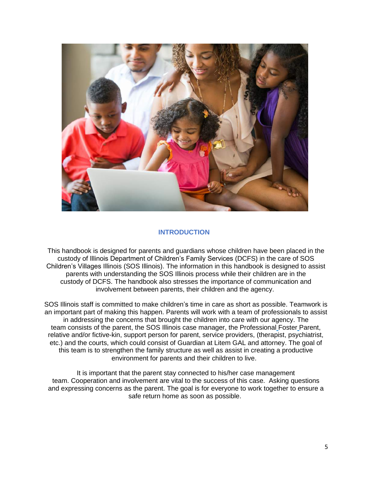

#### **INTRODUCTION**

This handbook is designed for parents and guardians whose children have been placed in the custody of Illinois Department of Children's Family Services (DCFS) in the care of SOS Children's Villages Illinois (SOS Illinois). The information in this handbook is designed to assist parents with understanding the SOS Illinois process while their children are in the custody of DCFS. The handbook also stresses the importance of communication and involvement between parents, their children and the agency.

SOS Illinois staff is committed to make children's time in care as short as possible. Teamwork is an important part of making this happen. Parents will work with a team of professionals to assist in addressing the concerns that brought the children into care with our agency. The team consists of the parent, the SOS Illinois case manager, the Professional Foster Parent, relative and/or fictive-kin, support person for parent, service providers, (therapist, psychiatrist, etc.) and the courts, which could consist of Guardian at Litem GAL and attorney. The goal of this team is to strengthen the family structure as well as assist in creating a productive environment for parents and their children to live.

It is important that the parent stay connected to his/her case management team. Cooperation and involvement are vital to the success of this case. Asking questions and expressing concerns as the parent. The goal is for everyone to work together to ensure a safe return home as soon as possible.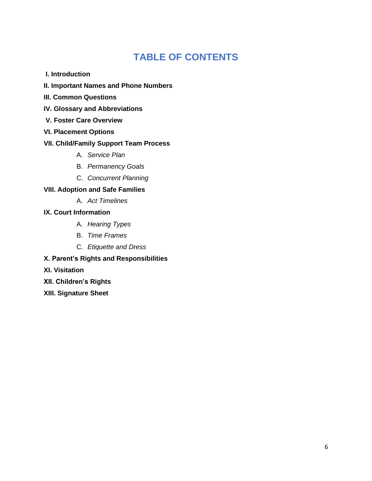## **TABLE OF CONTENTS**

- **I. Introduction**
- **II. Important Names and Phone Numbers**
- **III. Common Questions**
- **IV. Glossary and Abbreviations**
- **V. Foster Care Overview**
- **VI. Placement Options**

#### **VII. Child/Family Support Team Process**

- A. *Service Plan*
- B. *Permanency Goals*
- C. *Concurrent Planning*

#### **VIII. Adoption and Safe Families**

- A. *Act Timelines*
- **IX. Court Information**
	- A. *Hearing Types*
	- B. *Time Frames*
	- C. *Etiquette and Dress*
- **X. Parent's Rights and Responsibilities**
- **XI. Visitation**
- **XII. Children's Rights**
- **XIII. Signature Sheet**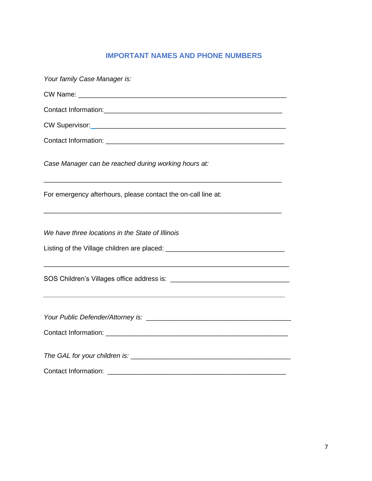## **IMPORTANT NAMES AND PHONE NUMBERS**

| Your family Case Manager is:                                                                                                                                                  |
|-------------------------------------------------------------------------------------------------------------------------------------------------------------------------------|
|                                                                                                                                                                               |
|                                                                                                                                                                               |
|                                                                                                                                                                               |
|                                                                                                                                                                               |
| Case Manager can be reached during working hours at:<br><u> 1989 - Jan Barat, margaret amerikan bahasa di sebagai bagi dan bagi dalam bagi dalam bagi dalam bagi dalam ba</u> |
| For emergency afterhours, please contact the on-call line at:                                                                                                                 |
| We have three locations in the State of Illinois                                                                                                                              |
|                                                                                                                                                                               |
|                                                                                                                                                                               |
|                                                                                                                                                                               |
|                                                                                                                                                                               |
|                                                                                                                                                                               |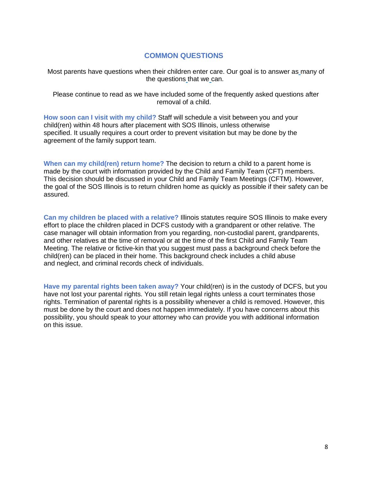#### **COMMON QUESTIONS**

Most parents have questions when their children enter care. Our goal is to answer as many of the questions that we can.

Please continue to read as we have included some of the frequently asked questions after removal of a child.

**How soon can I visit with my child?** Staff will schedule a visit between you and your child(ren) within 48 hours after placement with SOS Illinois, unless otherwise specified. It usually requires a court order to prevent visitation but may be done by the agreement of the family support team.

**When can my child(ren) return home?** The decision to return a child to a parent home is made by the court with information provided by the Child and Family Team (CFT) members. This decision should be discussed in your Child and Family Team Meetings (CFTM). However, the goal of the SOS Illinois is to return children home as quickly as possible if their safety can be assured.

**Can my children be placed with a relative?** Illinois statutes require SOS Illinois to make every effort to place the children placed in DCFS custody with a grandparent or other relative. The case manager will obtain information from you regarding, non-custodial parent, grandparents, and other relatives at the time of removal or at the time of the first Child and Family Team Meeting. The relative or fictive-kin that you suggest must pass a background check before the child(ren) can be placed in their home. This background check includes a child abuse and neglect, and criminal records check of individuals.

**Have my parental rights been taken away?** Your child(ren) is in the custody of DCFS, but you have not lost your parental rights. You still retain legal rights unless a court terminates those rights. Termination of parental rights is a possibility whenever a child is removed. However, this must be done by the court and does not happen immediately. If you have concerns about this possibility, you should speak to your attorney who can provide you with additional information on this issue.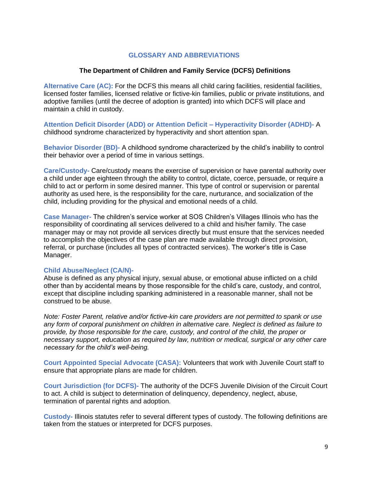#### **GLOSSARY AND ABBREVIATIONS**

#### **The Department of Children and Family Service (DCFS) Definitions**

**Alternative Care (AC):** For the DCFS this means all child caring facilities, residential facilities, licensed foster families, licensed relative or fictive-kin families, public or private institutions, and adoptive families (until the decree of adoption is granted) into which DCFS will place and maintain a child in custody.

**Attention Deficit Disorder (ADD) or Attention Deficit – Hyperactivity Disorder (ADHD)-** A childhood syndrome characterized by hyperactivity and short attention span.

**Behavior Disorder (BD)-** A childhood syndrome characterized by the child's inability to control their behavior over a period of time in various settings.

**Care/Custody-** Care/custody means the exercise of supervision or have parental authority over a child under age eighteen through the ability to control, dictate, coerce, persuade, or require a child to act or perform in some desired manner. This type of control or supervision or parental authority as used here, is the responsibility for the care, nurturance, and socialization of the child, including providing for the physical and emotional needs of a child.

**Case Manager-** The children's service worker at SOS Children's Villages Illinois who has the responsibility of coordinating all services delivered to a child and his/her family. The case manager may or may not provide all services directly but must ensure that the services needed to accomplish the objectives of the case plan are made available through direct provision, referral, or purchase (includes all types of contracted services). The worker's title is Case Manager.

#### **Child Abuse/Neglect (CA/N)-**

Abuse is defined as any physical injury, sexual abuse, or emotional abuse inflicted on a child other than by accidental means by those responsible for the child's care, custody, and control, except that discipline including spanking administered in a reasonable manner, shall not be construed to be abuse.

*Note: Foster Parent, relative and/or fictive-kin care providers are not permitted to spank or use any form of corporal punishment on children in alternative care. Neglect is defined as failure to provide, by those responsible for the care, custody, and control of the child, the proper or necessary support, education as required by law, nutrition or medical, surgical or any other care necessary for the child's well-being.*

**Court Appointed Special Advocate (CASA):** Volunteers that work with Juvenile Court staff to ensure that appropriate plans are made for children.

**Court Jurisdiction (for DCFS)-** The authority of the DCFS Juvenile Division of the Circuit Court to act. A child is subject to determination of delinquency, dependency, neglect, abuse, termination of parental rights and adoption.

**Custody-** Illinois statutes refer to several different types of custody. The following definitions are taken from the statues or interpreted for DCFS purposes.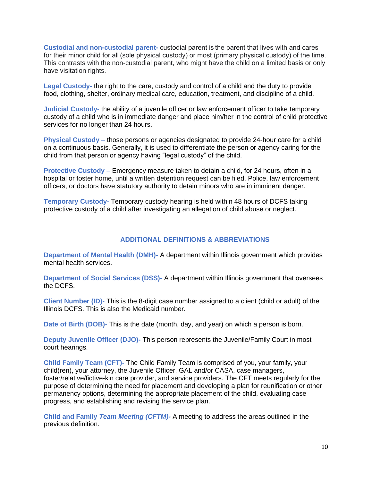**Custodial and non-custodial parent-** custodial parent is the parent that lives with and cares for their minor child for all (sole physical custody) or most (primary physical custody) of the time. This contrasts with the non-custodial parent, who might have the child on a limited basis or only have visitation rights.

**Legal Custody-** the right to the care, custody and control of a child and the duty to provide food, clothing, shelter, ordinary medical care, education, treatment, and discipline of a child.

**Judicial Custody-** the ability of a juvenile officer or law enforcement officer to take temporary custody of a child who is in immediate danger and place him/her in the control of child protective services for no longer than 24 hours.

**Physical Custody** – those persons or agencies designated to provide 24-hour care for a child on a continuous basis. Generally, it is used to differentiate the person or agency caring for the child from that person or agency having "legal custody" of the child.

**Protective Custody** – Emergency measure taken to detain a child, for 24 hours, often in a hospital or foster home, until a written detention request can be filed. Police, law enforcement officers, or doctors have statutory authority to detain minors who are in imminent danger.

**Temporary Custody-** Temporary custody hearing is held within 48 hours of DCFS taking protective custody of a child after investigating an allegation of child abuse or neglect.

#### **ADDITIONAL DEFINITIONS & ABBREVIATIONS**

**Department of Mental Health (DMH)-** A department within Illinois government which provides mental health services.

**Department of Social Services (DSS)-** A department within Illinois government that oversees the DCFS.

**Client Number (ID)-** This is the 8-digit case number assigned to a client (child or adult) of the Illinois DCFS. This is also the Medicaid number.

**Date of Birth (DOB)-** This is the date (month, day, and year) on which a person is born.

**Deputy Juvenile Officer (DJO)-** This person represents the Juvenile/Family Court in most court hearings.

**Child Family Team (CFT)-** The Child Family Team is comprised of you, your family, your child(ren), your attorney, the Juvenile Officer, GAL and/or CASA, case managers, foster/relative/fictive-kin care provider, and service providers. The CFT meets regularly for the purpose of determining the need for placement and developing a plan for reunification or other permanency options, determining the appropriate placement of the child, evaluating case progress, and establishing and revising the service plan.

**Child and Family** *Team Meeting (CFTM)-* A meeting to address the areas outlined in the previous definition.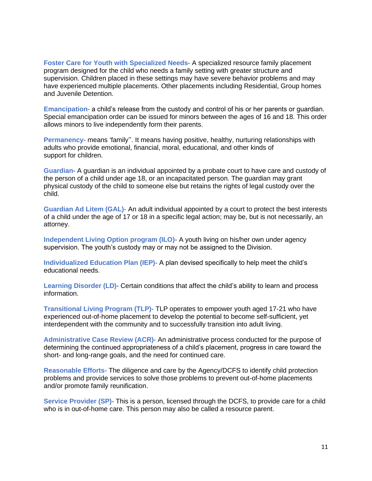**Foster Care for Youth with Specialized Needs-** A specialized resource family placement program designed for the child who needs a family setting with greater structure and supervision. Children placed in these settings may have severe behavior problems and may have experienced multiple placements. Other placements including Residential, Group homes and Juvenile Detention.

**Emancipation-** a child's release from the custody and control of his or her parents or guardian. Special emancipation order can be issued for minors between the ages of 16 and 18. This order allows minors to live independently form their parents.

**Permanency-** means 'family''. It means having positive, healthy, nurturing relationships with adults who provide emotional, financial, moral, educational, and other kinds of support for children.

**Guardian-** A guardian is an individual appointed by a probate court to have care and custody of the person of a child under age 18, or an incapacitated person. The guardian may grant physical custody of the child to someone else but retains the rights of legal custody over the child.

**Guardian Ad Litem (GAL)-** An adult individual appointed by a court to protect the best interests of a child under the age of 17 or 18 in a specific legal action; may be, but is not necessarily, an attorney.

**Independent Living Option program (ILO)-** A youth living on his/her own under agency supervision. The youth's custody may or may not be assigned to the Division.

**Individualized Education Plan (IEP)-** A plan devised specifically to help meet the child's educational needs.

**Learning Disorder (LD)-** Certain conditions that affect the child's ability to learn and process information.

**Transitional Living Program (TLP)-** TLP operates to empower youth aged 17-21 who have experienced out-of-home placement to develop the potential to become self-sufficient, yet interdependent with the community and to successfully transition into adult living.

**Administrative Case Review (ACR)-** An administrative process conducted for the purpose of determining the continued appropriateness of a child's placement, progress in care toward the short- and long-range goals, and the need for continued care.

**Reasonable Efforts-** The diligence and care by the Agency/DCFS to identify child protection problems and provide services to solve those problems to prevent out-of-home placements and/or promote family reunification.

**Service Provider (SP)-** This is a person, licensed through the DCFS, to provide care for a child who is in out-of-home care. This person may also be called a resource parent.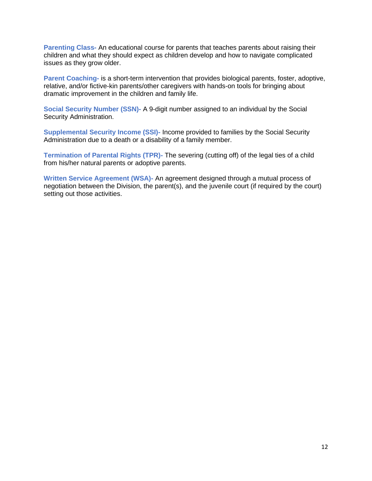**Parenting Class-** An educational course for parents that teaches parents about raising their children and what they should expect as children develop and how to navigate complicated issues as they grow older.

**Parent Coaching-** is a short-term intervention that provides biological parents, foster, adoptive, relative, and/or fictive-kin parents/other caregivers with hands-on tools for bringing about dramatic improvement in the children and family life.

**Social Security Number (SSN)-** A 9-digit number assigned to an individual by the Social Security Administration.

**Supplemental Security Income (SSI)-** Income provided to families by the Social Security Administration due to a death or a disability of a family member.

**Termination of Parental Rights (TPR)-** The severing (cutting off) of the legal ties of a child from his/her natural parents or adoptive parents.

**Written Service Agreement (WSA)-** An agreement designed through a mutual process of negotiation between the Division, the parent(s), and the juvenile court (if required by the court) setting out those activities.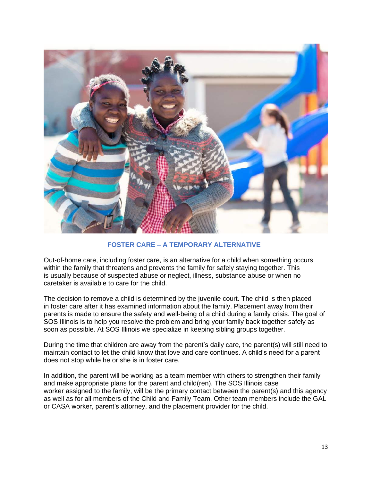

#### **FOSTER CARE – A TEMPORARY ALTERNATIVE**

Out-of-home care, including foster care, is an alternative for a child when something occurs within the family that threatens and prevents the family for safely staying together. This is usually because of suspected abuse or neglect, illness, substance abuse or when no caretaker is available to care for the child.

The decision to remove a child is determined by the juvenile court. The child is then placed in foster care after it has examined information about the family. Placement away from their parents is made to ensure the safety and well-being of a child during a family crisis. The goal of SOS Illinois is to help you resolve the problem and bring your family back together safely as soon as possible. At SOS Illinois we specialize in keeping sibling groups together.

During the time that children are away from the parent's daily care, the parent(s) will still need to maintain contact to let the child know that love and care continues. A child's need for a parent does not stop while he or she is in foster care.

In addition, the parent will be working as a team member with others to strengthen their family and make appropriate plans for the parent and child(ren). The SOS Illinois case worker assigned to the family, will be the primary contact between the parent(s) and this agency as well as for all members of the Child and Family Team. Other team members include the GAL or CASA worker, parent's attorney, and the placement provider for the child.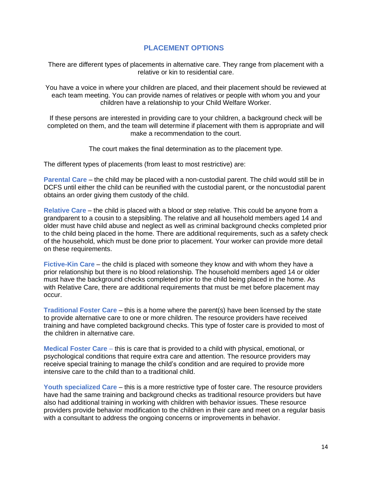#### **PLACEMENT OPTIONS**

There are different types of placements in alternative care. They range from placement with a relative or kin to residential care.

You have a voice in where your children are placed, and their placement should be reviewed at each team meeting. You can provide names of relatives or people with whom you and your children have a relationship to your Child Welfare Worker.

If these persons are interested in providing care to your children, a background check will be completed on them, and the team will determine if placement with them is appropriate and will make a recommendation to the court.

The court makes the final determination as to the placement type.

The different types of placements (from least to most restrictive) are:

**Parental Care** – the child may be placed with a non-custodial parent. The child would still be in DCFS until either the child can be reunified with the custodial parent, or the noncustodial parent obtains an order giving them custody of the child.

**Relative Care** – the child is placed with a blood or step relative. This could be anyone from a grandparent to a cousin to a stepsibling. The relative and all household members aged 14 and older must have child abuse and neglect as well as criminal background checks completed prior to the child being placed in the home. There are additional requirements, such as a safety check of the household, which must be done prior to placement. Your worker can provide more detail on these requirements.

**Fictive-Kin Care** – the child is placed with someone they know and with whom they have a prior relationship but there is no blood relationship. The household members aged 14 or older must have the background checks completed prior to the child being placed in the home. As with Relative Care, there are additional requirements that must be met before placement may occur.

**Traditional Foster Care** – this is a home where the parent(s) have been licensed by the state to provide alternative care to one or more children. The resource providers have received training and have completed background checks. This type of foster care is provided to most of the children in alternative care.

**Medical Foster Care** – this is care that is provided to a child with physical, emotional, or psychological conditions that require extra care and attention. The resource providers may receive special training to manage the child's condition and are required to provide more intensive care to the child than to a traditional child.

**Youth specialized Care** – this is a more restrictive type of foster care. The resource providers have had the same training and background checks as traditional resource providers but have also had additional training in working with children with behavior issues. These resource providers provide behavior modification to the children in their care and meet on a regular basis with a consultant to address the ongoing concerns or improvements in behavior.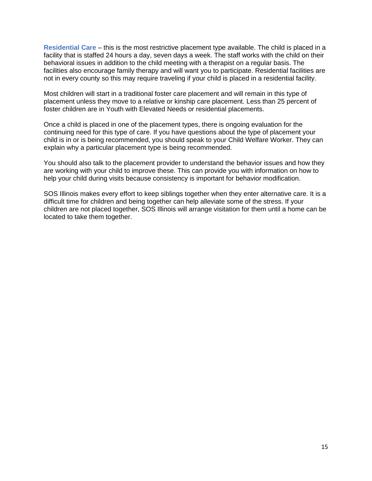**Residential Care** – this is the most restrictive placement type available. The child is placed in a facility that is staffed 24 hours a day, seven days a week. The staff works with the child on their behavioral issues in addition to the child meeting with a therapist on a regular basis. The facilities also encourage family therapy and will want you to participate. Residential facilities are not in every county so this may require traveling if your child is placed in a residential facility.

Most children will start in a traditional foster care placement and will remain in this type of placement unless they move to a relative or kinship care placement. Less than 25 percent of foster children are in Youth with Elevated Needs or residential placements.

Once a child is placed in one of the placement types, there is ongoing evaluation for the continuing need for this type of care. If you have questions about the type of placement your child is in or is being recommended, you should speak to your Child Welfare Worker. They can explain why a particular placement type is being recommended.

You should also talk to the placement provider to understand the behavior issues and how they are working with your child to improve these. This can provide you with information on how to help your child during visits because consistency is important for behavior modification.

SOS Illinois makes every effort to keep siblings together when they enter alternative care. It is a difficult time for children and being together can help alleviate some of the stress. If your children are not placed together, SOS Illinois will arrange visitation for them until a home can be located to take them together.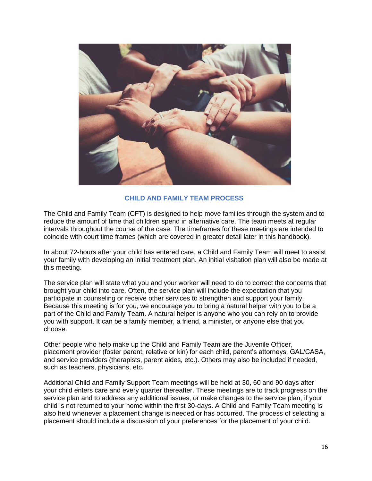

#### **CHILD AND FAMILY TEAM PROCESS**

The Child and Family Team (CFT) is designed to help move families through the system and to reduce the amount of time that children spend in alternative care. The team meets at regular intervals throughout the course of the case. The timeframes for these meetings are intended to coincide with court time frames (which are covered in greater detail later in this handbook).

In about 72-hours after your child has entered care, a Child and Family Team will meet to assist your family with developing an initial treatment plan. An initial visitation plan will also be made at this meeting.

The service plan will state what you and your worker will need to do to correct the concerns that brought your child into care. Often, the service plan will include the expectation that you participate in counseling or receive other services to strengthen and support your family. Because this meeting is for you, we encourage you to bring a natural helper with you to be a part of the Child and Family Team. A natural helper is anyone who you can rely on to provide you with support. It can be a family member, a friend, a minister, or anyone else that you choose.

Other people who help make up the Child and Family Team are the Juvenile Officer, placement provider (foster parent, relative or kin) for each child, parent's attorneys, GAL/CASA, and service providers (therapists, parent aides, etc.). Others may also be included if needed, such as teachers, physicians, etc.

Additional Child and Family Support Team meetings will be held at 30, 60 and 90 days after your child enters care and every quarter thereafter. These meetings are to track progress on the service plan and to address any additional issues, or make changes to the service plan, if your child is not returned to your home within the first 30-days. A Child and Family Team meeting is also held whenever a placement change is needed or has occurred. The process of selecting a placement should include a discussion of your preferences for the placement of your child.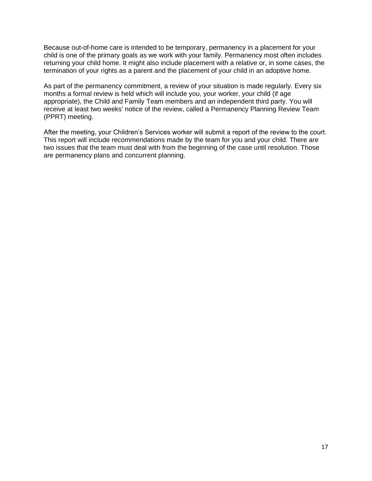Because out-of-home care is intended to be temporary, permanency in a placement for your child is one of the primary goals as we work with your family. Permanency most often includes returning your child home. It might also include placement with a relative or, in some cases, the termination of your rights as a parent and the placement of your child in an adoptive home.

As part of the permanency commitment, a review of your situation is made regularly. Every six months a formal review is held which will include you, your worker, your child (if age appropriate), the Child and Family Team members and an independent third party. You will receive at least two weeks' notice of the review, called a Permanency Planning Review Team (PPRT) meeting.

After the meeting, your Children's Services worker will submit a report of the review to the court. This report will include recommendations made by the team for you and your child. There are two issues that the team must deal with from the beginning of the case until resolution. Those are permanency plans and concurrent planning.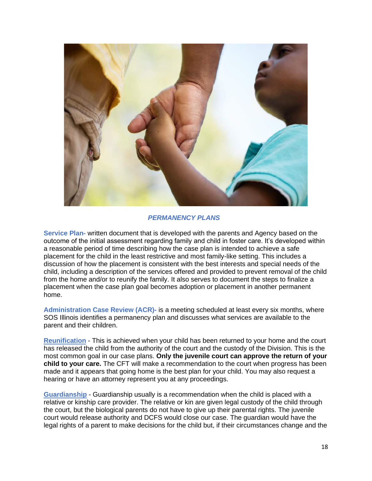

#### *PERMANENCY PLANS*

**Service Plan-** written document that is developed with the parents and Agency based on the outcome of the initial assessment regarding family and child in foster care. It's developed within a reasonable period of time describing how the case plan is intended to achieve a safe placement for the child in the least restrictive and most family-like setting. This includes a discussion of how the placement is consistent with the best interests and special needs of the child, including a description of the services offered and provided to prevent removal of the child from the home and/or to reunify the family. It also serves to document the steps to finalize a placement when the case plan goal becomes adoption or placement in another permanent home.

**Administration Case Review (ACR)-** is a meeting scheduled at least every six months, where SOS Illinois identifies a permanency plan and discusses what services are available to the parent and their children.

**Reunification** - This is achieved when your child has been returned to your home and the court has released the child from the authority of the court and the custody of the Division. This is the most common goal in our case plans. **Only the juvenile court can approve the return of your child to your care.** The CFT will make a recommendation to the court when progress has been made and it appears that going home is the best plan for your child. You may also request a hearing or have an attorney represent you at any proceedings.

**Guardianship** - Guardianship usually is a recommendation when the child is placed with a relative or kinship care provider. The relative or kin are given legal custody of the child through the court, but the biological parents do not have to give up their parental rights. The juvenile court would release authority and DCFS would close our case. The guardian would have the legal rights of a parent to make decisions for the child but, if their circumstances change and the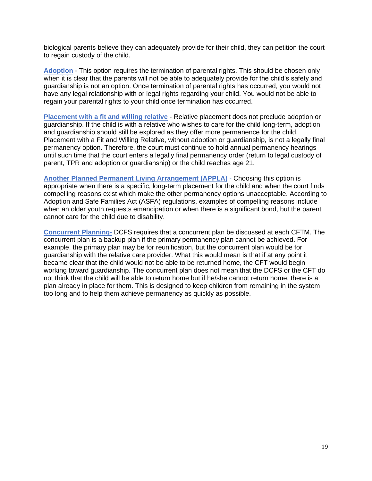biological parents believe they can adequately provide for their child, they can petition the court to regain custody of the child.

**Adoption** - This option requires the termination of parental rights. This should be chosen only when it is clear that the parents will not be able to adequately provide for the child's safety and guardianship is not an option. Once termination of parental rights has occurred, you would not have any legal relationship with or legal rights regarding your child. You would not be able to regain your parental rights to your child once termination has occurred.

**Placement with a fit and willing relative** - Relative placement does not preclude adoption or guardianship. If the child is with a relative who wishes to care for the child long-term, adoption and guardianship should still be explored as they offer more permanence for the child. Placement with a Fit and Willing Relative, without adoption or guardianship, is not a legally final permanency option. Therefore, the court must continue to hold annual permanency hearings until such time that the court enters a legally final permanency order (return to legal custody of parent, TPR and adoption or guardianship) or the child reaches age 21.

**Another Planned Permanent Living Arrangement (APPLA)** - Choosing this option is appropriate when there is a specific, long-term placement for the child and when the court finds compelling reasons exist which make the other permanency options unacceptable. According to Adoption and Safe Families Act (ASFA) regulations, examples of compelling reasons include when an older youth requests emancipation or when there is a significant bond, but the parent cannot care for the child due to disability.

**Concurrent Planning-** DCFS requires that a concurrent plan be discussed at each CFTM. The concurrent plan is a backup plan if the primary permanency plan cannot be achieved. For example, the primary plan may be for reunification, but the concurrent plan would be for guardianship with the relative care provider. What this would mean is that if at any point it became clear that the child would not be able to be returned home, the CFT would begin working toward guardianship. The concurrent plan does not mean that the DCFS or the CFT do not think that the child will be able to return home but if he/she cannot return home, there is a plan already in place for them. This is designed to keep children from remaining in the system too long and to help them achieve permanency as quickly as possible.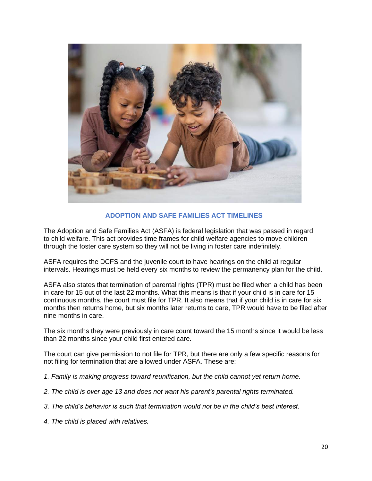

#### **ADOPTION AND SAFE FAMILIES ACT TIMELINES**

The Adoption and Safe Families Act (ASFA) is federal legislation that was passed in regard to child welfare. This act provides time frames for child welfare agencies to move children through the foster care system so they will not be living in foster care indefinitely.

ASFA requires the DCFS and the juvenile court to have hearings on the child at regular intervals. Hearings must be held every six months to review the permanency plan for the child.

ASFA also states that termination of parental rights (TPR) must be filed when a child has been in care for 15 out of the last 22 months. What this means is that if your child is in care for 15 continuous months, the court must file for TPR. It also means that if your child is in care for six months then returns home, but six months later returns to care, TPR would have to be filed after nine months in care.

The six months they were previously in care count toward the 15 months since it would be less than 22 months since your child first entered care.

The court can give permission to not file for TPR, but there are only a few specific reasons for not filing for termination that are allowed under ASFA. These are:

- *1. Family is making progress toward reunification, but the child cannot yet return home.*
- *2. The child is over age 13 and does not want his parent's parental rights terminated.*
- *3. The child's behavior is such that termination would not be in the child's best interest.*
- *4. The child is placed with relatives.*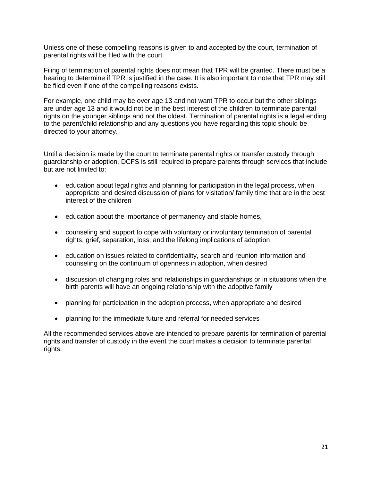Unless one of these compelling reasons is given to and accepted by the court, termination of parental rights will be filed with the court.

Filing of termination of parental rights does not mean that TPR will be granted. There must be a hearing to determine if TPR is justified in the case. It is also important to note that TPR may still be filed even if one of the compelling reasons exists.

For example, one child may be over age 13 and not want TPR to occur but the other siblings are under age 13 and it would not be in the best interest of the children to terminate parental rights on the younger siblings and not the oldest. Termination of parental rights is a legal ending to the parent/child relationship and any questions you have regarding this topic should be directed to your attorney.

Until a decision is made by the court to terminate parental rights or transfer custody through guardianship or adoption, DCFS is still required to prepare parents through services that include but are not limited to:

- education about legal rights and planning for participation in the legal process, when appropriate and desired discussion of plans for visitation/ family time that are in the best interest of the children
- education about the importance of permanency and stable homes,
- counseling and support to cope with voluntary or involuntary termination of parental rights, grief, separation, loss, and the lifelong implications of adoption
- education on issues related to confidentiality, search and reunion information and counseling on the continuum of openness in adoption, when desired
- discussion of changing roles and relationships in guardianships or in situations when the birth parents will have an ongoing relationship with the adoptive family
- planning for participation in the adoption process, when appropriate and desired
- planning for the immediate future and referral for needed services

All the recommended services above are intended to prepare parents for termination of parental rights and transfer of custody in the event the court makes a decision to terminate parental rights.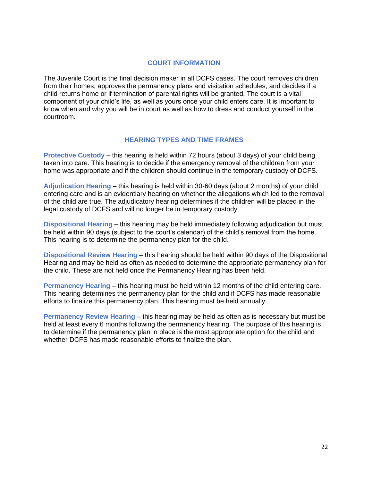#### **COURT INFORMATION**

The Juvenile Court is the final decision maker in all DCFS cases. The court removes children from their homes, approves the permanency plans and visitation schedules, and decides if a child returns home or if termination of parental rights will be granted. The court is a vital component of your child's life, as well as yours once your child enters care. It is important to know when and why you will be in court as well as how to dress and conduct yourself in the courtroom.

#### **HEARING TYPES AND TIME FRAMES**

**Protective Custody** – this hearing is held within 72 hours (about 3 days) of your child being taken into care. This hearing is to decide if the emergency removal of the children from your home was appropriate and if the children should continue in the temporary custody of DCFS.

**Adjudication Hearing** – this hearing is held within 30-60 days (about 2 months) of your child entering care and is an evidentiary hearing on whether the allegations which led to the removal of the child are true. The adjudicatory hearing determines if the children will be placed in the legal custody of DCFS and will no longer be in temporary custody.

**Dispositional Hearing** – this hearing may be held immediately following adjudication but must be held within 90 days (subject to the court's calendar) of the child's removal from the home. This hearing is to determine the permanency plan for the child.

**Dispositional Review Hearing** – this hearing should be held within 90 days of the Dispositional Hearing and may be held as often as needed to determine the appropriate permanency plan for the child. These are not held once the Permanency Hearing has been held.

**Permanency Hearing** – this hearing must be held within 12 months of the child entering care. This hearing determines the permanency plan for the child and if DCFS has made reasonable efforts to finalize this permanency plan. This hearing must be held annually.

**Permanency Review Hearing** – this hearing may be held as often as is necessary but must be held at least every 6 months following the permanency hearing. The purpose of this hearing is to determine if the permanency plan in place is the most appropriate option for the child and whether DCFS has made reasonable efforts to finalize the plan.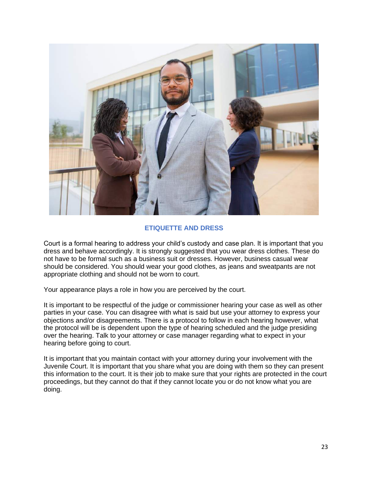

#### **ETIQUETTE AND DRESS**

Court is a formal hearing to address your child's custody and case plan. It is important that you dress and behave accordingly. It is strongly suggested that you wear dress clothes. These do not have to be formal such as a business suit or dresses. However, business casual wear should be considered. You should wear your good clothes, as jeans and sweatpants are not appropriate clothing and should not be worn to court.

Your appearance plays a role in how you are perceived by the court.

It is important to be respectful of the judge or commissioner hearing your case as well as other parties in your case. You can disagree with what is said but use your attorney to express your objections and/or disagreements. There is a protocol to follow in each hearing however, what the protocol will be is dependent upon the type of hearing scheduled and the judge presiding over the hearing. Talk to your attorney or case manager regarding what to expect in your hearing before going to court.

It is important that you maintain contact with your attorney during your involvement with the Juvenile Court. It is important that you share what you are doing with them so they can present this information to the court. It is their job to make sure that your rights are protected in the court proceedings, but they cannot do that if they cannot locate you or do not know what you are doing.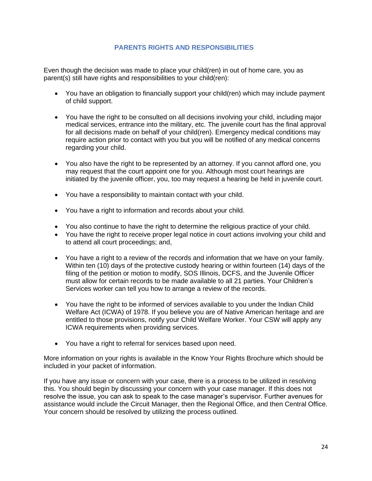#### **PARENTS RIGHTS AND RESPONSIBILITIES**

Even though the decision was made to place your child(ren) in out of home care, you as parent(s) still have rights and responsibilities to your child(ren):

- You have an obligation to financially support your child(ren) which may include payment of child support.
- You have the right to be consulted on all decisions involving your child, including major medical services, entrance into the military, etc. The juvenile court has the final approval for all decisions made on behalf of your child(ren). Emergency medical conditions may require action prior to contact with you but you will be notified of any medical concerns regarding your child.
- You also have the right to be represented by an attorney. If you cannot afford one, you may request that the court appoint one for you. Although most court hearings are initiated by the juvenile officer, you, too may request a hearing be held in juvenile court.
- You have a responsibility to maintain contact with your child.
- You have a right to information and records about your child.
- You also continue to have the right to determine the religious practice of your child.
- You have the right to receive proper legal notice in court actions involving your child and to attend all court proceedings; and,
- You have a right to a review of the records and information that we have on your family. Within ten (10) days of the protective custody hearing or within fourteen (14) days of the filing of the petition or motion to modify, SOS Illinois, DCFS, and the Juvenile Officer must allow for certain records to be made available to all 21 parties. Your Children's Services worker can tell you how to arrange a review of the records.
- You have the right to be informed of services available to you under the Indian Child Welfare Act (ICWA) of 1978. If you believe you are of Native American heritage and are entitled to those provisions, notify your Child Welfare Worker. Your CSW will apply any ICWA requirements when providing services.
- You have a right to referral for services based upon need.

More information on your rights is available in the Know Your Rights Brochure which should be included in your packet of information.

If you have any issue or concern with your case, there is a process to be utilized in resolving this. You should begin by discussing your concern with your case manager. If this does not resolve the issue, you can ask to speak to the case manager's supervisor. Further avenues for assistance would include the Circuit Manager, then the Regional Office, and then Central Office. Your concern should be resolved by utilizing the process outlined.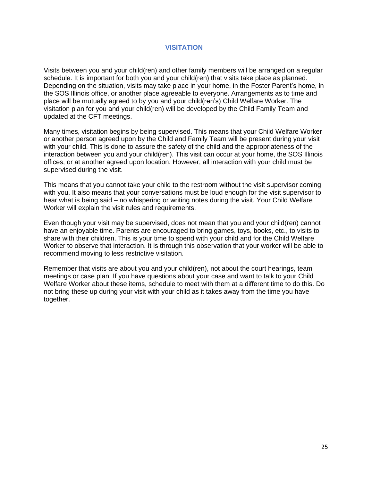#### **VISITATION**

Visits between you and your child(ren) and other family members will be arranged on a regular schedule. It is important for both you and your child(ren) that visits take place as planned. Depending on the situation, visits may take place in your home, in the Foster Parent's home, in the SOS Illinois office, or another place agreeable to everyone. Arrangements as to time and place will be mutually agreed to by you and your child(ren's) Child Welfare Worker. The visitation plan for you and your child(ren) will be developed by the Child Family Team and updated at the CFT meetings.

Many times, visitation begins by being supervised. This means that your Child Welfare Worker or another person agreed upon by the Child and Family Team will be present during your visit with your child. This is done to assure the safety of the child and the appropriateness of the interaction between you and your child(ren). This visit can occur at your home, the SOS Illinois offices, or at another agreed upon location. However, all interaction with your child must be supervised during the visit.

This means that you cannot take your child to the restroom without the visit supervisor coming with you. It also means that your conversations must be loud enough for the visit supervisor to hear what is being said – no whispering or writing notes during the visit. Your Child Welfare Worker will explain the visit rules and requirements.

Even though your visit may be supervised, does not mean that you and your child(ren) cannot have an enjoyable time. Parents are encouraged to bring games, toys, books, etc., to visits to share with their children. This is your time to spend with your child and for the Child Welfare Worker to observe that interaction. It is through this observation that your worker will be able to recommend moving to less restrictive visitation.

Remember that visits are about you and your child(ren), not about the court hearings, team meetings or case plan. If you have questions about your case and want to talk to your Child Welfare Worker about these items, schedule to meet with them at a different time to do this. Do not bring these up during your visit with your child as it takes away from the time you have together.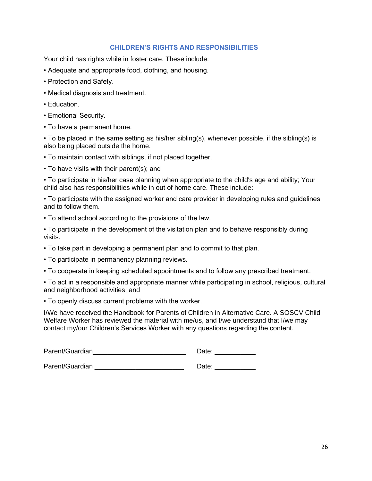#### **CHILDREN'S RIGHTS AND RESPONSIBILITIES**

Your child has rights while in foster care. These include:

- Adequate and appropriate food, clothing, and housing.
- Protection and Safety.
- Medical diagnosis and treatment.
- Education.
- Emotional Security.
- To have a permanent home.

• To be placed in the same setting as his/her sibling(s), whenever possible, if the sibling(s) is also being placed outside the home.

- To maintain contact with siblings, if not placed together.
- To have visits with their parent(s); and

• To participate in his/her case planning when appropriate to the child's age and ability; Your child also has responsibilities while in out of home care. These include:

• To participate with the assigned worker and care provider in developing rules and guidelines and to follow them.

• To attend school according to the provisions of the law.

• To participate in the development of the visitation plan and to behave responsibly during visits.

- To take part in developing a permanent plan and to commit to that plan.
- To participate in permanency planning reviews.
- To cooperate in keeping scheduled appointments and to follow any prescribed treatment.

• To act in a responsible and appropriate manner while participating in school, religious, cultural and neighborhood activities; and

• To openly discuss current problems with the worker.

I/We have received the Handbook for Parents of Children in Alternative Care. A SOSCV Child Welfare Worker has reviewed the material with me/us, and I/we understand that I/we may contact my/our Children's Services Worker with any questions regarding the content.

| Parent/Guardian | Date: |
|-----------------|-------|
|                 |       |
| Parent/Guardian | Date: |